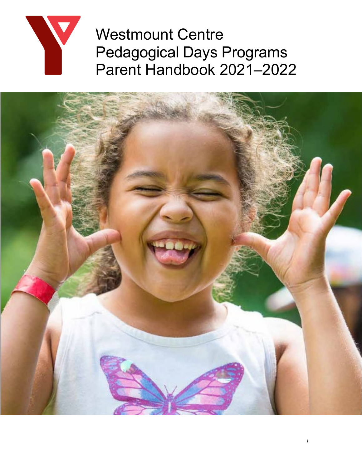

Westmount Centre Pedagogical Days Programs Parent Handbook 2021–2022

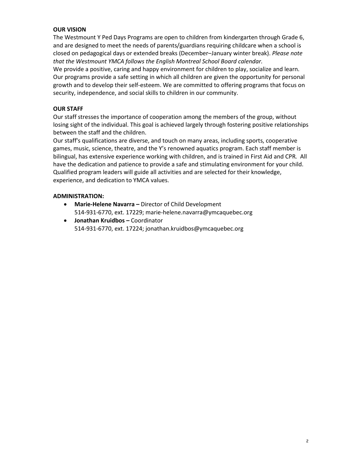# **OUR VISION**

The Westmount Y Ped Days Programs are open to children from kindergarten through Grade 6, and are designed to meet the needs of parents/guardians requiring childcare when a school is closed on pedagogical days or extended breaks (December–January winter break). *Please note that the Westmount YMCA follows the English Montreal School Board calendar.*

We provide a positive, caring and happy environment for children to play, socialize and learn. Our programs provide a safe setting in which all children are given the opportunity for personal growth and to develop their self-esteem. We are committed to offering programs that focus on security, independence, and social skills to children in our community.

# **OUR STAFF**

Our staff stresses the importance of cooperation among the members of the group, without losing sight of the individual. This goal is achieved largely through fostering positive relationships between the staff and the children.

Our staff's qualifications are diverse, and touch on many areas, including sports, cooperative games, music, science, theatre, and the Y's renowned aquatics program. Each staff member is bilingual, has extensive experience working with children, and is trained in First Aid and CPR*.* All have the dedication and patience to provide a safe and stimulating environment for your child. Qualified program leaders will guide all activities and are selected for their knowledge, experience, and dedication to YMCA values.

# **ADMINISTRATION:**

- **Marie-Helene Navarra –** Director of Child Development 514-931-6770, ext. 17229; marie-helene.navarra@ymcaquebec.org
- **Jonathan Kruidbos –** Coordinator 514-931-6770, ext. 17224; jonathan.kruidbos@ymcaquebec.org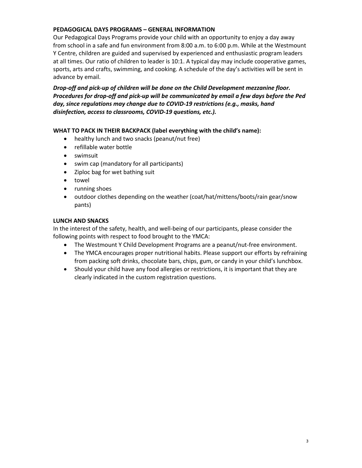# **PEDAGOGICAL DAYS PROGRAMS – GENERAL INFORMATION**

Our Pedagogical Days Programs provide your child with an opportunity to enjoy a day away from school in a safe and fun environment from 8:00 a.m. to 6:00 p.m. While at the Westmount Y Centre, children are guided and supervised by experienced and enthusiastic program leaders at all times. Our ratio of children to leader is 10:1. A typical day may include cooperative games, sports, arts and crafts, swimming, and cooking. A schedule of the day's activities will be sent in advance by email.

*Drop-off and pick-up of children will be done on the Child Development mezzanine floor. Procedures for drop-off and pick-up will be communicated by email a few days before the Ped day, since regulations may change due to COVID-19 restrictions (e.g., masks, hand disinfection, access to classrooms, COVID-19 questions, etc.).*

### **WHAT TO PACK IN THEIR BACKPACK (label everything with the child's name):**

- healthy lunch and two snacks (peanut/nut free)
- refillable water bottle
- swimsuit
- swim cap (mandatory for all participants)
- Ziploc bag for wet bathing suit
- towel
- running shoes
- outdoor clothes depending on the weather (coat/hat/mittens/boots/rain gear/snow pants)

### **LUNCH AND SNACKS**

In the interest of the safety, health, and well-being of our participants, please consider the following points with respect to food brought to the YMCA:

- The Westmount Y Child Development Programs are a peanut/nut-free environment.
- The YMCA encourages proper nutritional habits. Please support our efforts by refraining from packing soft drinks, chocolate bars, chips, gum, or candy in your child's lunchbox.
- Should your child have any food allergies or restrictions, it is important that they are clearly indicated in the custom registration questions.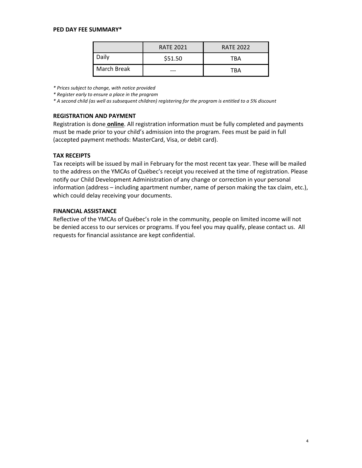#### **PED DAY FEE SUMMARY\***

|             | <b>RATE 2021</b> | <b>RATE 2022</b> |
|-------------|------------------|------------------|
| Daily       | \$51.50          | TBA              |
| March Break |                  | TBA              |

*\* Prices subject to change, with notice provided*

*\* Register early to ensure a place in the program*

*\* A second child (as well as subsequent children) registering for the program is entitled to a 5% discount*

#### **REGISTRATION AND PAYMENT**

Registration is done **online**. All registration information must be fully completed and payments must be made prior to your child's admission into the program. Fees must be paid in full (accepted payment methods: MasterCard, Visa, or debit card).

#### **TAX RECEIPTS**

Tax receipts will be issued by mail in February for the most recent tax year. These will be mailed to the address on the YMCAs of Québec's receipt you received at the time of registration. Please notify our Child Development Administration of any change or correction in your personal information (address – including apartment number, name of person making the tax claim, etc.), which could delay receiving your documents.

#### **FINANCIAL ASSISTANCE**

Reflective of the YMCAs of Québec's role in the community, people on limited income will not be denied access to our services or programs. If you feel you may qualify, please contact us. All requests for financial assistance are kept confidential.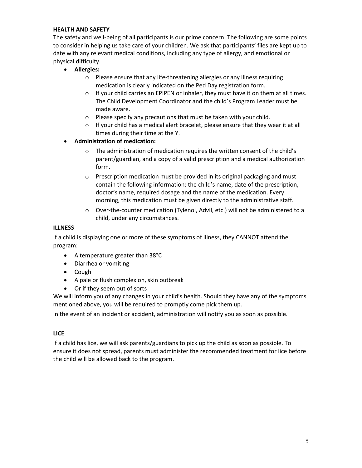# **HEALTH AND SAFETY**

The safety and well-being of all participants is our prime concern. The following are some points to consider in helping us take care of your children. We ask that participants' files are kept up to date with any relevant medical conditions, including any type of allergy, and emotional or physical difficulty.

- **Allergies:** 
	- o Please ensure that any life-threatening allergies or any illness requiring medication is clearly indicated on the Ped Day registration form.
	- $\circ$  If your child carries an EPIPEN or inhaler, they must have it on them at all times. The Child Development Coordinator and the child's Program Leader must be made aware.
	- o Please specify any precautions that must be taken with your child.
	- o If your child has a medical alert bracelet, please ensure that they wear it at all times during their time at the Y.
- **Administration of medication:** 
	- $\circ$  The administration of medication requires the written consent of the child's parent/guardian, and a copy of a valid prescription and a medical authorization form.
	- $\circ$  Prescription medication must be provided in its original packaging and must contain the following information: the child's name, date of the prescription, doctor's name, required dosage and the name of the medication. Every morning, this medication must be given directly to the administrative staff.
	- $\circ$  Over-the-counter medication (Tylenol, Advil, etc.) will not be administered to a child, under any circumstances.

### **ILLNESS**

If a child is displaying one or more of these symptoms of illness, they CANNOT attend the program:

- A temperature greater than 38°C
- Diarrhea or vomiting
- Cough
- A pale or flush complexion, skin outbreak
- Or if they seem out of sorts

We will inform you of any changes in your child's health. Should they have any of the symptoms mentioned above, you will be required to promptly come pick them up.

In the event of an incident or accident, administration will notify you as soon as possible.

### **LICE**

If a child has lice, we will ask parents/guardians to pick up the child as soon as possible. To ensure it does not spread, parents must administer the recommended treatment for lice before the child will be allowed back to the program.